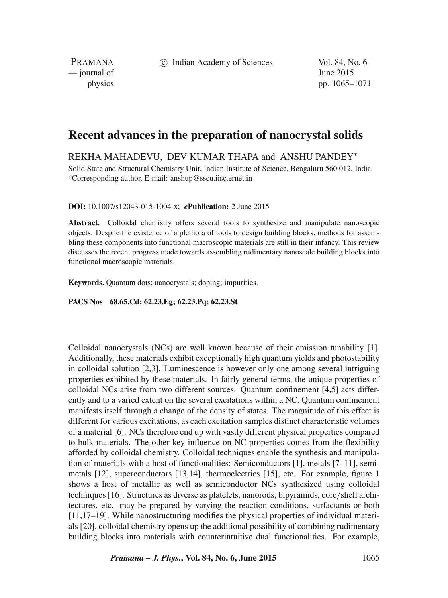c Indian Academy of Sciences Vol. 84, No. 6

PRAMANA  $\frac{1}{2}$  journal of June 2015

physics pp. 1065–1071

# **Recent advances in the preparation of nanocrystal solids**

REKHA MAHADEVU, DEV KUMAR THAPA and ANSHU PANDEY∗

Solid State and Structural Chemistry Unit, Indian Institute of Science, Bengaluru 560 012, India ∗Corresponding author. E-mail: anshup@sscu.iisc.ernet.in

#### **DOI:** 10.1007/s12043-015-1004-x; *e***Publication:** 2 June 2015

**Abstract.** Colloidal chemistry offers several tools to synthesize and manipulate nanoscopic objects. Despite the existence of a plethora of tools to design building blocks, methods for assembling these components into functional macroscopic materials are still in their infancy. This review discusses the recent progress made towards assembling rudimentary nanoscale building blocks into functional macroscopic materials.

**Keywords.** Quantum dots; nanocrystals; doping; impurities.

**PACS Nos 68.65.Cd; 62.23.Eg; 62.23.Pq; 62.23.St**

Colloidal nanocrystals (NCs) are well known because of their emission tunability [1]. Additionally, these materials exhibit exceptionally high quantum yields and photostability in colloidal solution [2,3]. Luminescence is however only one among several intriguing properties exhibited by these materials. In fairly general terms, the unique properties of colloidal NCs arise from two different sources. Quantum confinement [4,5] acts differently and to a varied extent on the several excitations within a NC. Quantum confinement manifests itself through a change of the density of states. The magnitude of this effect is different for various excitations, as each excitation samples distinct characteristic volumes of a material [6]. NCs therefore end up with vastly different physical properties compared to bulk materials. The other key influence on NC properties comes from the flexibility afforded by colloidal chemistry. Colloidal techniques enable the synthesis and manipulation of materials with a host of functionalities: Semiconductors [1], metals  $[7-11]$ , semimetals [12], superconductors [13,14], thermoelectrics [15], etc. For example, figure 1 shows a host of metallic as well as semiconductor NCs synthesized using colloidal techniques [16]. Structures as diverse as platelets, nanorods, bipyramids, core/shell architectures, etc. may be prepared by varying the reaction conditions, surfactants or both [11,17–19]. While nanostructuring modifies the physical properties of individual materials [20], colloidal chemistry opens up the additional possibility of combining rudimentary building blocks into materials with counterintuitive dual functionalities. For example,

*Pramana – J. Phys.***, Vol. 84, No. 6, June 2015** 1065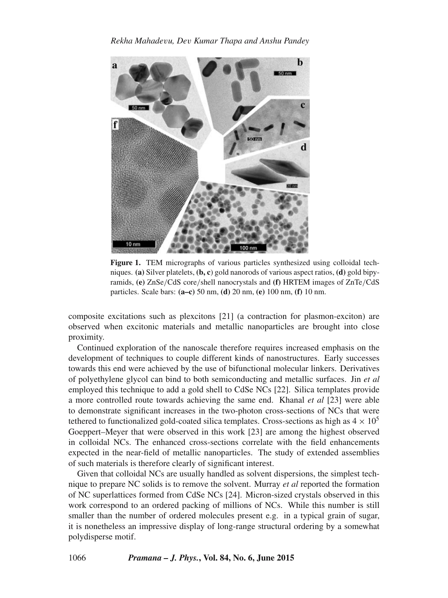

**Figure 1.** TEM micrographs of various particles synthesized using colloidal techniques. **(a)** Silver platelets, **(b, c**) gold nanorods of various aspect ratios, **(d)** gold bipyramids, **(e)** ZnSe/CdS core/shell nanocrystals and **(f)** HRTEM images of ZnTe/CdS particles. Scale bars: **(a–c)** 50 nm, **(d)** 20 nm, **(e)** 100 nm, **(f)** 10 nm.

composite excitations such as plexcitons [21] (a contraction for plasmon-exciton) are observed when excitonic materials and metallic nanoparticles are brought into close proximity.

Continued exploration of the nanoscale therefore requires increased emphasis on the development of techniques to couple different kinds of nanostructures. Early successes towards this end were achieved by the use of bifunctional molecular linkers. Derivatives of polyethylene glycol can bind to both semiconducting and metallic surfaces. Jin *et al* employed this technique to add a gold shell to CdSe NCs [22]. Silica templates provide a more controlled route towards achieving the same end. Khanal *et al* [23] were able to demonstrate significant increases in the two-photon cross-sections of NCs that were tethered to functionalized gold-coated silica templates. Cross-sections as high as  $4 \times 10^5$ Goeppert–Meyer that were observed in this work [23] are among the highest observed in colloidal NCs. The enhanced cross-sections correlate with the field enhancements expected in the near-field of metallic nanoparticles. The study of extended assemblies of such materials is therefore clearly of significant interest.

Given that colloidal NCs are usually handled as solvent dispersions, the simplest technique to prepare NC solids is to remove the solvent. Murray *et al* reported the formation of NC superlattices formed from CdSe NCs [24]. Micron-sized crystals observed in this work correspond to an ordered packing of millions of NCs. While this number is still smaller than the number of ordered molecules present e.g. in a typical grain of sugar, it is nonetheless an impressive display of long-range structural ordering by a somewhat polydisperse motif.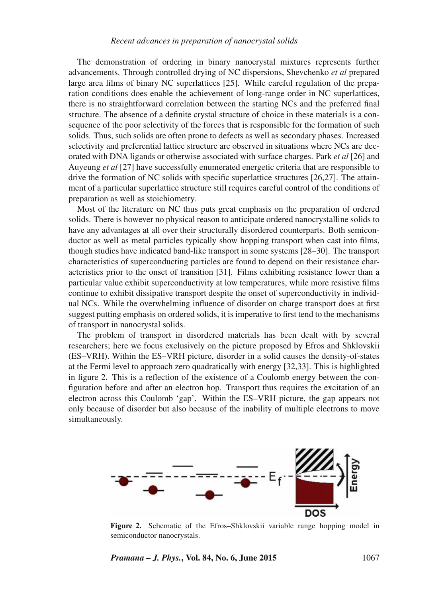## *Recent ad*v*ances in preparation of nanocrystal solids*

The demonstration of ordering in binary nanocrystal mixtures represents further advancements. Through controlled drying of NC dispersions, Shevchenko *et al* prepared large area films of binary NC superlattices [25]. While careful regulation of the preparation conditions does enable the achievement of long-range order in NC superlattices, there is no straightforward correlation between the starting NCs and the preferred final structure. The absence of a definite crystal structure of choice in these materials is a consequence of the poor selectivity of the forces that is responsible for the formation of such solids. Thus, such solids are often prone to defects as well as secondary phases. Increased selectivity and preferential lattice structure are observed in situations where NCs are decorated with DNA ligands or otherwise associated with surface charges. Park *et al* [26] and Auyeung *et al* [27] have successfully enumerated energetic criteria that are responsible to drive the formation of NC solids with specific superlattice structures [26,27]. The attainment of a particular superlattice structure still requires careful control of the conditions of preparation as well as stoichiometry.

Most of the literature on NC thus puts great emphasis on the preparation of ordered solids. There is however no physical reason to anticipate ordered nanocrystalline solids to have any advantages at all over their structurally disordered counterparts. Both semiconductor as well as metal particles typically show hopping transport when cast into films, though studies have indicated band-like transport in some systems [28–30]. The transport characteristics of superconducting particles are found to depend on their resistance characteristics prior to the onset of transition [31]. Films exhibiting resistance lower than a particular value exhibit superconductivity at low temperatures, while more resistive films continue to exhibit dissipative transport despite the onset of superconductivity in individual NCs. While the overwhelming influence of disorder on charge transport does at first suggest putting emphasis on ordered solids, it is imperative to first tend to the mechanisms of transport in nanocrystal solids.

The problem of transport in disordered materials has been dealt with by several researchers; here we focus exclusively on the picture proposed by Efros and Shklovskii (ES–VRH). Within the ES–VRH picture, disorder in a solid causes the density-of-states at the Fermi level to approach zero quadratically with energy [32,33]. This is highlighted in figure 2. This is a reflection of the existence of a Coulomb energy between the configuration before and after an electron hop. Transport thus requires the excitation of an electron across this Coulomb 'gap'. Within the ES–VRH picture, the gap appears not only because of disorder but also because of the inability of multiple electrons to move simultaneously.



**Figure 2.** Schematic of the Efros–Shklovskii variable range hopping model in semiconductor nanocrystals.

*Pramana – J. Phys.***, Vol. 84, No. 6, June 2015** 1067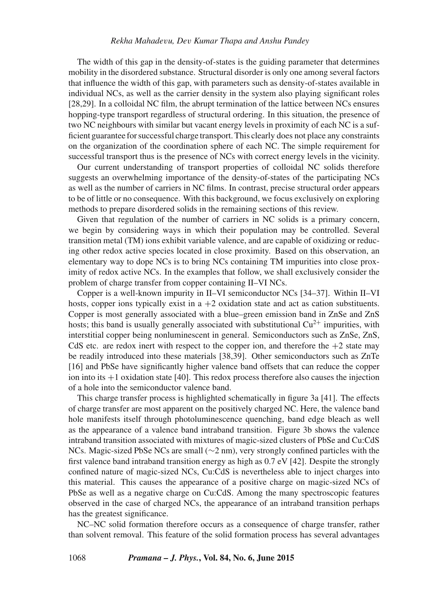## *Rekha Mahade*v*u, De*v *Kumar Thapa and Anshu Pandey*

The width of this gap in the density-of-states is the guiding parameter that determines mobility in the disordered substance. Structural disorder is only one among several factors that influence the width of this gap, with parameters such as density-of-states available in individual NCs, as well as the carrier density in the system also playing significant roles [28,29]. In a colloidal NC film, the abrupt termination of the lattice between NCs ensures hopping-type transport regardless of structural ordering. In this situation, the presence of two NC neighbours with similar but vacant energy levels in proximity of each NC is a sufficient guarantee for successful charge transport. This clearly does not place any constraints on the organization of the coordination sphere of each NC. The simple requirement for successful transport thus is the presence of NCs with correct energy levels in the vicinity.

Our current understanding of transport properties of colloidal NC solids therefore suggests an overwhelming importance of the density-of-states of the participating NCs as well as the number of carriers in NC films. In contrast, precise structural order appears to be of little or no consequence. With this background, we focus exclusively on exploring methods to prepare disordered solids in the remaining sections of this review.

Given that regulation of the number of carriers in NC solids is a primary concern, we begin by considering ways in which their population may be controlled. Several transition metal (TM) ions exhibit variable valence, and are capable of oxidizing or reducing other redox active species located in close proximity. Based on this observation, an elementary way to dope NCs is to bring NCs containing TM impurities into close proximity of redox active NCs. In the examples that follow, we shall exclusively consider the problem of charge transfer from copper containing II–VI NCs.

Copper is a well-known impurity in II–VI semiconductor NCs [34–37]. Within II–VI hosts, copper ions typically exist in  $a + 2$  oxidation state and act as cation substituents. Copper is most generally associated with a blue–green emission band in ZnSe and ZnS hosts; this band is usually generally associated with substitutional  $Cu^{2+}$  impurities, with interstitial copper being nonluminescent in general. Semiconductors such as ZnSe, ZnS, CdS etc. are redox inert with respect to the copper ion, and therefore the  $+2$  state may be readily introduced into these materials [38,39]. Other semiconductors such as ZnTe [16] and PbSe have significantly higher valence band offsets that can reduce the copper ion into its  $+1$  oxidation state [40]. This redox process therefore also causes the injection of a hole into the semiconductor valence band.

This charge transfer process is highlighted schematically in figure 3a [41]. The effects of charge transfer are most apparent on the positively charged NC. Here, the valence band hole manifests itself through photoluminescence quenching, band edge bleach as well as the appearance of a valence band intraband transition. Figure 3b shows the valence intraband transition associated with mixtures of magic-sized clusters of PbSe and Cu:CdS NCs. Magic-sized PbSe NCs are small (∼2 nm), very strongly confined particles with the first valence band intraband transition energy as high as 0.7 eV [42]. Despite the strongly confined nature of magic-sized NCs, Cu:CdS is nevertheless able to inject charges into this material. This causes the appearance of a positive charge on magic-sized NCs of PbSe as well as a negative charge on Cu:CdS. Among the many spectroscopic features observed in the case of charged NCs, the appearance of an intraband transition perhaps has the greatest significance.

NC–NC solid formation therefore occurs as a consequence of charge transfer, rather than solvent removal. This feature of the solid formation process has several advantages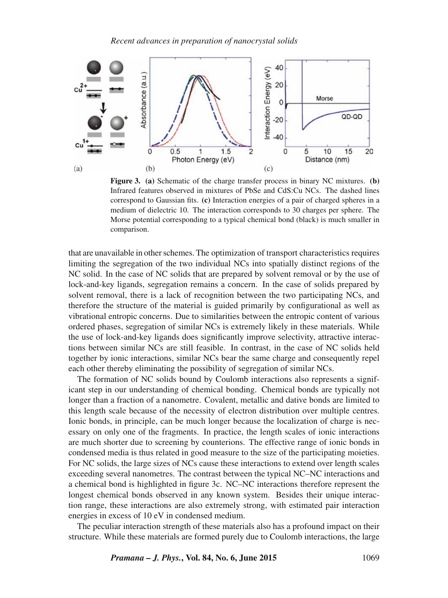

**Figure 3. (a)** Schematic of the charge transfer process in binary NC mixtures. **(b)** Infrared features observed in mixtures of PbSe and CdS:Cu NCs. The dashed lines correspond to Gaussian fits. **(c)** Interaction energies of a pair of charged spheres in a medium of dielectric 10. The interaction corresponds to 30 charges per sphere. The Morse potential corresponding to a typical chemical bond (black) is much smaller in comparison.

that are unavailable in other schemes. The optimization of transport characteristics requires limiting the segregation of the two individual NCs into spatially distinct regions of the NC solid. In the case of NC solids that are prepared by solvent removal or by the use of lock-and-key ligands, segregation remains a concern. In the case of solids prepared by solvent removal, there is a lack of recognition between the two participating NCs, and therefore the structure of the material is guided primarily by configurational as well as vibrational entropic concerns. Due to similarities between the entropic content of various ordered phases, segregation of similar NCs is extremely likely in these materials. While the use of lock-and-key ligands does significantly improve selectivity, attractive interactions between similar NCs are still feasible. In contrast, in the case of NC solids held together by ionic interactions, similar NCs bear the same charge and consequently repel each other thereby eliminating the possibility of segregation of similar NCs.

The formation of NC solids bound by Coulomb interactions also represents a significant step in our understanding of chemical bonding. Chemical bonds are typically not longer than a fraction of a nanometre. Covalent, metallic and dative bonds are limited to this length scale because of the necessity of electron distribution over multiple centres. Ionic bonds, in principle, can be much longer because the localization of charge is necessary on only one of the fragments. In practice, the length scales of ionic interactions are much shorter due to screening by counterions. The effective range of ionic bonds in condensed media is thus related in good measure to the size of the participating moieties. For NC solids, the large sizes of NCs cause these interactions to extend over length scales exceeding several nanometres. The contrast between the typical NC–NC interactions and a chemical bond is highlighted in figure 3c. NC–NC interactions therefore represent the longest chemical bonds observed in any known system. Besides their unique interaction range, these interactions are also extremely strong, with estimated pair interaction energies in excess of 10 eV in condensed medium.

The peculiar interaction strength of these materials also has a profound impact on their structure. While these materials are formed purely due to Coulomb interactions, the large

*Pramana – J. Phys.***, Vol. 84, No. 6, June 2015** 1069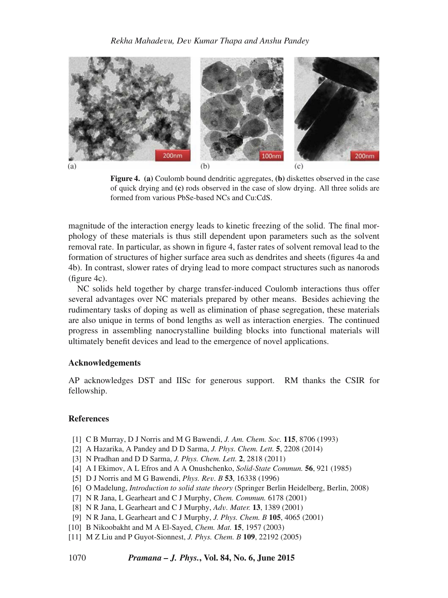

**Figure 4. (a)** Coulomb bound dendritic aggregates, **(b)** diskettes observed in the case of quick drying and **(c)** rods observed in the case of slow drying. All three solids are formed from various PbSe-based NCs and Cu:CdS.

magnitude of the interaction energy leads to kinetic freezing of the solid. The final morphology of these materials is thus still dependent upon parameters such as the solvent removal rate. In particular, as shown in figure 4, faster rates of solvent removal lead to the formation of structures of higher surface area such as dendrites and sheets (figures 4a and 4b). In contrast, slower rates of drying lead to more compact structures such as nanorods (figure 4c).

NC solids held together by charge transfer-induced Coulomb interactions thus offer several advantages over NC materials prepared by other means. Besides achieving the rudimentary tasks of doping as well as elimination of phase segregation, these materials are also unique in terms of bond lengths as well as interaction energies. The continued progress in assembling nanocrystalline building blocks into functional materials will ultimately benefit devices and lead to the emergence of novel applications.

### **Acknowledgements**

AP acknowledges DST and IISc for generous support. RM thanks the CSIR for fellowship.

#### **References**

- [1] C B Murray, D J Norris and M G Bawendi, *J. Am. Chem. Soc.* **115**, 8706 (1993)
- [2] A Hazarika, A Pandey and D D Sarma, *J. Phys. Chem. Lett.* **5**, 2208 (2014)
- [3] N Pradhan and D D Sarma, *J. Phys. Chem. Lett.* **2**, 2818 (2011)
- [4] A I Ekimov, A L Efros and A A Onushchenko, *Solid-State Commun.* **56**, 921 (1985)
- [5] D J Norris and M G Bawendi, *Phys. Re*v*. B* **53**, 16338 (1996)
- [6] O Madelung, *Introduction to solid state theory* (Springer Berlin Heidelberg, Berlin, 2008)
- [7] N R Jana, L Gearheart and C J Murphy, *Chem. Commun.* 6178 (2001)
- [8] N R Jana, L Gearheart and C J Murphy, *Ad*v*. Mater.* **13**, 1389 (2001)
- [9] N R Jana, L Gearheart and C J Murphy, *J. Phys. Chem. B* **105**, 4065 (2001)
- [10] B Nikoobakht and M A El-Sayed, *Chem. Mat.* **15**, 1957 (2003)
- [11] M Z Liu and P Guyot-Sionnest, *J. Phys. Chem. B* **109**, 22192 (2005)